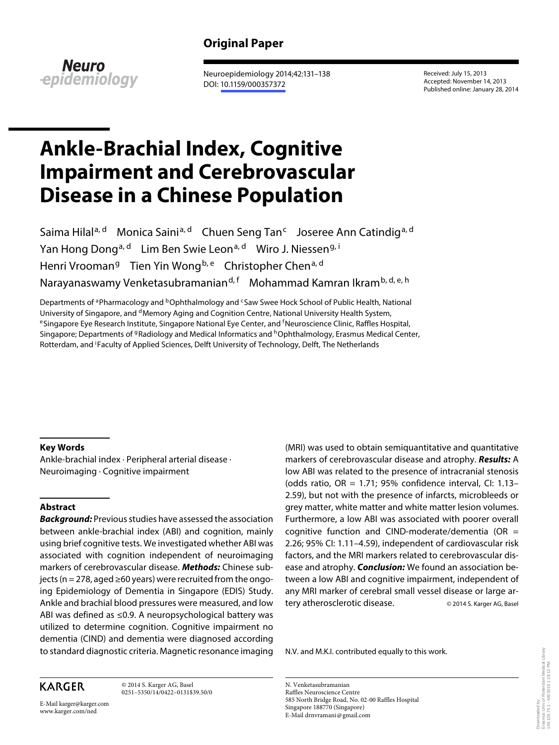# **Original Paper**



 Neuroepidemiology 2014;42:131–138 DOI: [10.1159/000357372](http://dx.doi.org/10.1159%2F000357372)

 Received: July 15, 2013 Accepted: November 14, 2013 Published online: January 28, 2014

# **Ankle-Brachial Index, Cognitive Impairment and Cerebrovascular Disease in a Chinese Population**

Saima Hilal<sup>a, d</sup> Monica Saini<sup>a, d</sup> Chuen Seng Tan<sup>c</sup> Joseree Ann Catindig<sup>a, d</sup> Yan Hong Dong<sup>a, d</sup> Lim Ben Swie Leon<sup>a, d</sup> Wiro J. Niessen<sup>g, i</sup> Henri Vrooman<sup>g</sup> Tien Yin Wong<sup>b, e</sup> Christopher Chen<sup>a, d</sup> Narayanaswamy Venketasubramanian<sup>d, f</sup> Mohammad Kamran Ikram<sup>b, d, e, h</sup>

Departments of <sup>a</sup> Pharmacology and <sup>b</sup> Ophthalmology and <sup>c</sup> Saw Swee Hock School of Public Health, National University of Singapore, and <sup>d</sup>Memory Aging and Cognition Centre, National University Health System,<br><sup>e</sup> Singapore Eye Research Institute, Singapore National Eye Center, and <sup>f</sup>Neuroscience Clinic, Raffles Hospital, Singapore; Departments of <sup>g</sup>Radiology and Medical Informatics and <sup>h</sup>Ophthalmology, Erasmus Medical Center, Rotterdam, and <sup>i</sup>Faculty of Applied Sciences, Delft University of Technology, Delft, The Netherlands

## **Key Words**

 Ankle-brachial index · Peripheral arterial disease · Neuroimaging · Cognitive impairment

# **Abstract**

**Background:** Previous studies have assessed the association between ankle-brachial index (ABI) and cognition, mainly using brief cognitive tests. We investigated whether ABI was associated with cognition independent of neuroimaging markers of cerebrovascular disease. **Methods:** Chinese subjects (n = 278, aged  $\geq$ 60 years) were recruited from the ongoing Epidemiology of Dementia in Singapore (EDIS) Study. Ankle and brachial blood pressures were measured, and low ABI was defined as  $\leq$ 0.9. A neuropsychological battery was utilized to determine cognition. Cognitive impairment no dementia (CIND) and dementia were diagnosed according to standard diagnostic criteria. Magnetic resonance imaging (MRI) was used to obtain semiquantitative and quantitative markers of cerebrovascular disease and atrophy. **Results:** A low ABI was related to the presence of intracranial stenosis (odds ratio,  $OR = 1.71$ ; 95% confidence interval, CI: 1.13-2.59), but not with the presence of infarcts, microbleeds or grey matter, white matter and white matter lesion volumes. Furthermore, a low ABI was associated with poorer overall cognitive function and CIND-moderate/dementia (OR  $=$ 2.26; 95% CI: 1.11–4.59), independent of cardiovascular risk factors, and the MRI markers related to cerebrovascular disease and atrophy. **Conclusion:** We found an association between a low ABI and cognitive impairment, independent of any MRI marker of cerebral small vessel disease or large artery atherosclerotic disease. © 2014 S. Karger AG, Basel

N.V. and M.K.I. contributed equally to this work.

# **KARGER**

 © 2014 S. Karger AG, Basel 0251–5350/14/0422–0131\$39.50/0

E-Mail karger@karger.com www.karger.com/ned

 N. Venketasubramanian Raffles Neuroscience Centre 585 North Bridge Road, No. 02-00 Raffles Hospital Singapore 188770 (Singapore) E-Mail drnvramani @ gmail.com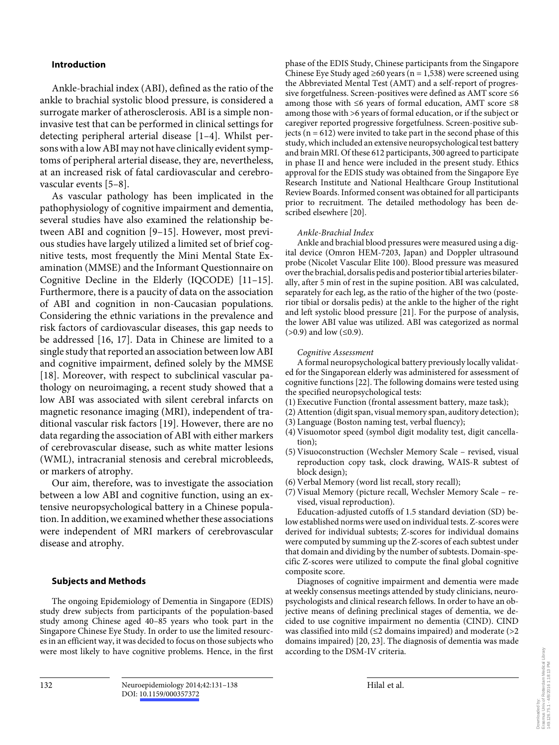### **Introduction**

 Ankle-brachial index (ABI), defined as the ratio of the ankle to brachial systolic blood pressure, is considered a surrogate marker of atherosclerosis. ABI is a simple noninvasive test that can be performed in clinical settings for detecting peripheral arterial disease [1-4]. Whilst persons with a low ABI may not have clinically evident symptoms of peripheral arterial disease, they are, nevertheless, at an increased risk of fatal cardiovascular and cerebrovascular events [5–8] .

 As vascular pathology has been implicated in the pathophysiology of cognitive impairment and dementia, several studies have also examined the relationship between ABI and cognition [9–15]. However, most previous studies have largely utilized a limited set of brief cognitive tests, most frequently the Mini Mental State Examination (MMSE) and the Informant Questionnaire on Cognitive Decline in the Elderly (IQCODE) [11–15] . Furthermore, there is a paucity of data on the association of ABI and cognition in non-Caucasian populations. Considering the ethnic variations in the prevalence and risk factors of cardiovascular diseases, this gap needs to be addressed [16, 17]. Data in Chinese are limited to a single study that reported an association between low ABI and cognitive impairment, defined solely by the MMSE [18]. Moreover, with respect to subclinical vascular pathology on neuroimaging, a recent study showed that a low ABI was associated with silent cerebral infarcts on magnetic resonance imaging (MRI), independent of traditional vascular risk factors [19]. However, there are no data regarding the association of ABI with either markers of cerebrovascular disease, such as white matter lesions (WML), intracranial stenosis and cerebral microbleeds, or markers of atrophy.

 Our aim, therefore, was to investigate the association between a low ABI and cognitive function, using an extensive neuropsychological battery in a Chinese population. In addition, we examined whether these associations were independent of MRI markers of cerebrovascular disease and atrophy.

## **Subjects and Methods**

 The ongoing Epidemiology of Dementia in Singapore (EDIS) study drew subjects from participants of the population-based study among Chinese aged 40–85 years who took part in the Singapore Chinese Eye Study. In order to use the limited resources in an efficient way, it was decided to focus on those subjects who were most likely to have cognitive problems. Hence, in the first

phase of the EDIS Study, Chinese participants from the Singapore Chinese Eye Study aged  $\geq 60$  years (n = 1,538) were screened using the Abbreviated Mental Test (AMT) and a self-report of progressive forgetfulness. Screen-positives were defined as AMT score  $\leq 6$ among those with  $\leq 6$  years of formal education, AMT score  $\leq 8$ among those with >6 years of formal education, or if the subject or caregiver reported progressive forgetfulness. Screen-positive subjects ( $n = 612$ ) were invited to take part in the second phase of this study, which included an extensive neuropsychological test battery and brain MRI. Of these 612 participants, 300 agreed to participate in phase II and hence were included in the present study. Ethics approval for the EDIS study was obtained from the Singapore Eye Research Institute and National Healthcare Group Institutional Review Boards. Informed consent was obtained for all participants prior to recruitment. The detailed methodology has been described elsewhere [20].

#### *Ankle-Brachial Index*

 Ankle and brachial blood pressures were measured using a digital device (Omron HEM-7203, Japan) and Doppler ultrasound probe (Nicolet Vascular Elite 100). Blood pressure was measured over the brachial, dorsalis pedis and posterior tibial arteries bilaterally, after 5 min of rest in the supine position. ABI was calculated, separately for each leg, as the ratio of the higher of the two (posterior tibial or dorsalis pedis) at the ankle to the higher of the right and left systolic blood pressure [21] . For the purpose of analysis, the lower ABI value was utilized. ABI was categorized as normal  $(>0.9)$  and low  $( \le 0.9)$ .

#### *Cognitive Assessment*

 A formal neuropsychological battery previously locally validated for the Singaporean elderly was administered for assessment of cognitive functions [22] . The following domains were tested using the specified neuropsychological tests:

- (1) Executive Function (frontal assessment battery, maze task);
- (2) Attention (digit span, visual memory span, auditory detection);
- (3) Language (Boston naming test, verbal fluency);
- (4) Visuomotor speed (symbol digit modality test, digit cancellation);
- (5) Visuoconstruction (Wechsler Memory Scale revised, visual reproduction copy task, clock drawing, WAIS-R subtest of block design);
- (6) Verbal Memory (word list recall, story recall);
- (7) Visual Memory (picture recall, Wechsler Memory Scale revised, visual reproduction).

 Education-adjusted cutoffs of 1.5 standard deviation (SD) below established norms were used on individual tests. Z-scores were derived for individual subtests; Z-scores for individual domains were computed by summing up the Z-scores of each subtest under that domain and dividing by the number of subtests. Domain-specific Z-scores were utilized to compute the final global cognitive composite score.

 Diagnoses of cognitive impairment and dementia were made at weekly consensus meetings attended by study clinicians, neuropsychologists and clinical research fellows. In order to have an objective means of defining preclinical stages of dementia, we decided to use cognitive impairment no dementia (CIND). CIND was classified into mild ( $\leq$ 2 domains impaired) and moderate (>2 domains impaired) [20, 23]. The diagnosis of dementia was made according to the DSM-IV criteria.

Erasmus Univ.of Rotterdam Medical Library Downloaded by:<br>Erasmus Univ.of Rotterdam Medical Library<br>149.126.75.1 - 4/8/2016 1:18:13 PM 149.126.75.1 - 4/8/2016 1:18:13 PMDownloaded by: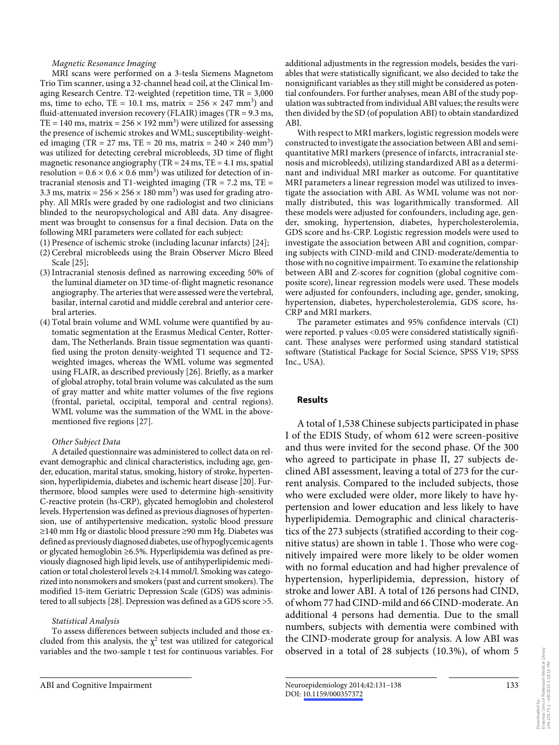#### *Magnetic Resonance Imaging*

 MRI scans were performed on a 3-tesla Siemens Magnetom Trio Tim scanner, using a 32-channel head coil, at the Clinical Imaging Research Centre. T2-weighted (repetition time, TR = 3,000 ms, time to echo, TE = 10.1 ms, matrix =  $256 \times 247$  mm<sup>3</sup>) and fluid-attenuated inversion recovery (FLAIR) images (TR = 9.3 ms, TE = 140 ms, matrix =  $256 \times 192$  mm<sup>3</sup>) were utilized for assessing the presence of ischemic strokes and WML; susceptibility-weighted imaging (TR = 27 ms, TE = 20 ms, matrix =  $240 \times 240$  mm<sup>3</sup>) was utilized for detecting cerebral microbleeds, 3D time of flight magnetic resonance angiography (TR =  $24 \text{ ms}$ , TE =  $4.1 \text{ ms}$ , spatial resolution =  $0.6 \times 0.6 \times 0.6$  mm<sup>3</sup>) was utilized for detection of intracranial stenosis and T1-weighted imaging (TR =  $7.2 \text{ ms}$ , TE = 3.3 ms, matrix =  $256 \times 256 \times 180$  mm<sup>3</sup>) was used for grading atrophy. All MRIs were graded by one radiologist and two clinicians blinded to the neuropsychological and ABI data. Any disagreement was brought to consensus for a final decision. Data on the following MRI parameters were collated for each subject:

- (1) Presence of ischemic stroke (including lacunar infarcts) [24] ;
- (2) Cerebral microbleeds using the Brain Observer Micro Bleed Scale [25];
- (3) Intracranial stenosis defined as narrowing exceeding 50% of the luminal diameter on 3D time-of-flight magnetic resonance angiography. The arteries that were assessed were the vertebral, basilar, internal carotid and middle cerebral and anterior cerebral arteries.
- (4) Total brain volume and WML volume were quantified by automatic segmentation at the Erasmus Medical Center, Rotterdam, The Netherlands. Brain tissue segmentation was quantified using the proton density-weighted T1 sequence and T2 weighted images, whereas the WML volume was segmented using FLAIR, as described previously [26] . Briefly, as a marker of global atrophy, total brain volume was calculated as the sum of gray matter and white matter volumes of the five regions (frontal, parietal, occipital, temporal and central regions). WML volume was the summation of the WML in the abovementioned five regions [27] .

#### *Other Subject Data*

 A detailed questionnaire was administered to collect data on relevant demographic and clinical characteristics, including age, gender, education, marital status, smoking, history of stroke, hypertension, hyperlipidemia, diabetes and ischemic heart disease [20] . Furthermore, blood samples were used to determine high-sensitivity C-reactive protein (hs-CRP), glycated hemoglobin and cholesterol levels. Hypertension was defined as previous diagnoses of hypertension, use of antihypertensive medication, systolic blood pressure ≥ 140 mm Hg or diastolic blood pressure ≥ 90 mm Hg. Diabetes was defined as previously diagnosed diabetes, use of hypoglycemic agents or glycated hemoglobin ≥ 6.5%. Hyperlipidemia was defined as previously diagnosed high lipid levels, use of antihyperlipidemic medication or total cholesterol levels ≥ 4.14 mmol/l. Smoking was categorized into nonsmokers and smokers (past and current smokers). The modified 15-item Geriatric Depression Scale (GDS) was administered to all subjects [28]. Depression was defined as a GDS score >5.

#### *Statistical Analysis*

 To assess differences between subjects included and those excluded from this analysis, the  $\chi^2$  test was utilized for categorical variables and the two-sample t test for continuous variables. For

additional adjustments in the regression models, besides the variables that were statistically significant, we also decided to take the nonsignificant variables as they still might be considered as potential confounders. For further analyses, mean ABI of the study population was subtracted from individual ABI values; the results were then divided by the SD (of population ABI) to obtain standardized ABI.

 With respect to MRI markers, logistic regression models were constructed to investigate the association between ABI and semiquantitative MRI markers (presence of infarcts, intracranial stenosis and microbleeds), utilizing standardized ABI as a determinant and individual MRI marker as outcome. For quantitative MRI parameters a linear regression model was utilized to investigate the association with ABI. As WML volume was not normally distributed, this was logarithmically transformed. All these models were adjusted for confounders, including age, gender, smoking, hypertension, diabetes, hypercholesterolemia, GDS score and hs-CRP. Logistic regression models were used to investigate the association between ABI and cognition, comparing subjects with CIND-mild and CIND-moderate/dementia to those with no cognitive impairment. To examine the relationship between ABI and Z-scores for cognition (global cognitive composite score), linear regression models were used. These models were adjusted for confounders, including age, gender, smoking, hypertension, diabetes, hypercholesterolemia, GDS score, hs-CRP and MRI markers.

 The parameter estimates and 95% confidence intervals (CI) were reported. p values <0.05 were considered statistically significant. These analyses were performed using standard statistical software (Statistical Package for Social Science, SPSS V19; SPSS Inc., USA).

#### **Results**

 A total of 1,538 Chinese subjects participated in phase I of the EDIS Study, of whom 612 were screen-positive and thus were invited for the second phase. Of the 300 who agreed to participate in phase II, 27 subjects declined ABI assessment, leaving a total of 273 for the current analysis. Compared to the included subjects, those who were excluded were older, more likely to have hypertension and lower education and less likely to have hyperlipidemia. Demographic and clinical characteristics of the 273 subjects (stratified according to their cognitive status) are shown in table 1. Those who were cognitively impaired were more likely to be older women with no formal education and had higher prevalence of hypertension, hyperlipidemia, depression, history of stroke and lower ABI. A total of 126 persons had CIND, of whom 77 had CIND-mild and 66 CIND-moderate. An additional 4 persons had dementia. Due to the small numbers, subjects with dementia were combined with the CIND-moderate group for analysis. A low ABI was observed in a total of 28 subjects (10.3%), of whom 5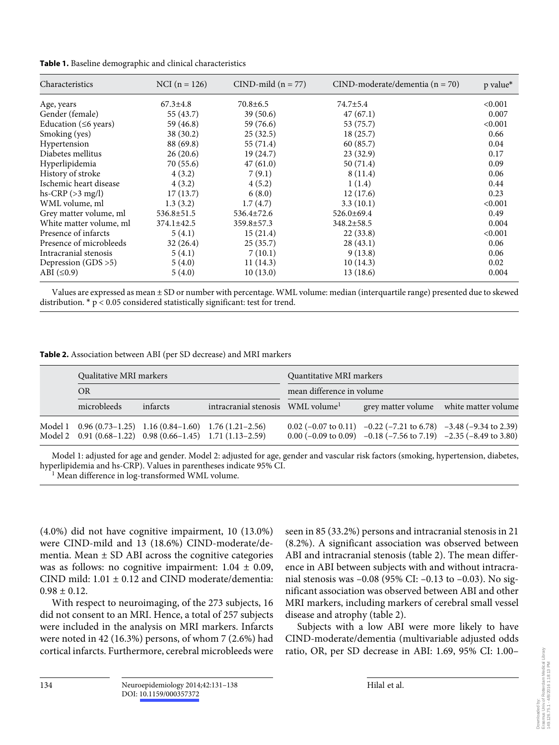|  |  |  |  | Table 1. Baseline demographic and clinical characteristics |
|--|--|--|--|------------------------------------------------------------|
|--|--|--|--|------------------------------------------------------------|

| Characteristics             | NCI $(n = 126)$ | $CIND$ -mild (n = 77) | $CIND$ -moderate/dementia (n = 70) | p value* |
|-----------------------------|-----------------|-----------------------|------------------------------------|----------|
| Age, years                  | $67.3 \pm 4.8$  | $70.8 \pm 6.5$        | $74.7 \pm 5.4$                     | < 0.001  |
| Gender (female)             | 55 (43.7)       | 39(50.6)              | 47(67.1)                           | 0.007    |
| Education ( $\leq 6$ years) | 59 (46.8)       | 59 (76.6)             | 53 (75.7)                          | < 0.001  |
| Smoking (yes)               | 38(30.2)        | 25(32.5)              | 18(25.7)                           | 0.66     |
| Hypertension                | 88 (69.8)       | 55 (71.4)             | 60 (85.7)                          | 0.04     |
| Diabetes mellitus           | 26(20.6)        | 19 (24.7)             | 23(32.9)                           | 0.17     |
| Hyperlipidemia              | 70(55.6)        | 47(61.0)              | 50(71.4)                           | 0.09     |
| History of stroke           | 4(3.2)          | 7(9.1)                | 8(11.4)                            | 0.06     |
| Ischemic heart disease      | 4(3.2)          | 4(5.2)                | 1(1.4)                             | 0.44     |
| hs-CRP $(>3$ mg/l)          | 17(13.7)        | 6(8.0)                | 12(17.6)                           | 0.23     |
| WML volume, ml              | 1.3(3.2)        | 1.7(4.7)              | 3.3(10.1)                          | < 0.001  |
| Grey matter volume, ml      | 536.8±51.5      | $536.4 \pm 72.6$      | $526.0 \pm 69.4$                   | 0.49     |
| White matter volume, ml     | 374.1±42.5      | 359.8±57.3            | 348.2±58.5                         | 0.004    |
| Presence of infarcts        | 5(4.1)          | 15(21.4)              | 22(33.8)                           | < 0.001  |
| Presence of microbleeds     | 32(26.4)        | 25(35.7)              | 28(43.1)                           | 0.06     |
| Intracranial stenosis       | 5(4.1)          | 7(10.1)               | 9(13.8)                            | 0.06     |
| Depression $(GDS > 5)$      | 5(4.0)          | 11(14.3)              | 10(14.3)                           | 0.02     |
| ABI $(\leq 0.9)$            | 5(4.0)          | 10(13.0)              | 13(18.6)                           | 0.004    |

 Values are expressed as mean ± SD or number with percentage. WML volume: median (interquartile range) presented due to skewed distribution. \* p < 0.05 considered statistically significant: test for trend.

|  | Qualitative MRI markers<br><b>OR</b> |                                                                                                                          |                                               | Quantitative MRI markers<br>mean difference in volume |                                                                                                                                                                                                        |  |  |
|--|--------------------------------------|--------------------------------------------------------------------------------------------------------------------------|-----------------------------------------------|-------------------------------------------------------|--------------------------------------------------------------------------------------------------------------------------------------------------------------------------------------------------------|--|--|
|  |                                      |                                                                                                                          |                                               |                                                       |                                                                                                                                                                                                        |  |  |
|  | microbleeds                          | infarcts                                                                                                                 | intracranial stenosis WML volume <sup>1</sup> |                                                       | grey matter volume white matter volume                                                                                                                                                                 |  |  |
|  |                                      | Model 1 0.96 (0.73-1.25) 1.16 (0.84-1.60) 1.76 (1.21-2.56)<br>Model 2 0.91 (0.68-1.22) 0.98 (0.66-1.45) 1.71 (1.13-2.59) |                                               |                                                       | $0.02 (-0.07 \text{ to } 0.11)$ $-0.22 (-7.21 \text{ to } 6.78)$ $-3.48 (-9.34 \text{ to } 2.39)$<br>0.00 $(-0.09 \text{ to } 0.09)$ -0.18 $(-7.56 \text{ to } 7.19)$ -2.35 $(-8.49 \text{ to } 3.80)$ |  |  |

 Model 1: adjusted for age and gender. Model 2: adjusted for age, gender and vascular risk factors (smoking, hypertension, diabetes, hyperlipidemia and hs-CRP). Values in parentheses indicate 95% CI.

<sup>1</sup> Mean difference in log-transformed WML volume.

(4.0%) did not have cognitive impairment, 10 (13.0%) were CIND-mild and 13 (18.6%) CIND-moderate/dementia. Mean  $\pm$  SD ABI across the cognitive categories was as follows: no cognitive impairment:  $1.04 \pm 0.09$ , CIND mild:  $1.01 \pm 0.12$  and CIND moderate/dementia:  $0.98 \pm 0.12$ .

 With respect to neuroimaging, of the 273 subjects, 16 did not consent to an MRI. Hence, a total of 257 subjects were included in the analysis on MRI markers. Infarcts were noted in 42 (16.3%) persons, of whom 7 (2.6%) had cortical infarcts. Furthermore, cerebral microbleeds were seen in 85 (33.2%) persons and intracranial stenosis in 21 (8.2%). A significant association was observed between ABI and intracranial stenosis (table 2). The mean difference in ABI between subjects with and without intracranial stenosis was –0.08 (95% CI: –0.13 to –0.03). No significant association was observed between ABI and other MRI markers, including markers of cerebral small vessel disease and atrophy (table 2).

 Subjects with a low ABI were more likely to have CIND-moderate/dementia (multivariable adjusted odds ratio, OR, per SD decrease in ABI: 1.69, 95% CI: 1.00–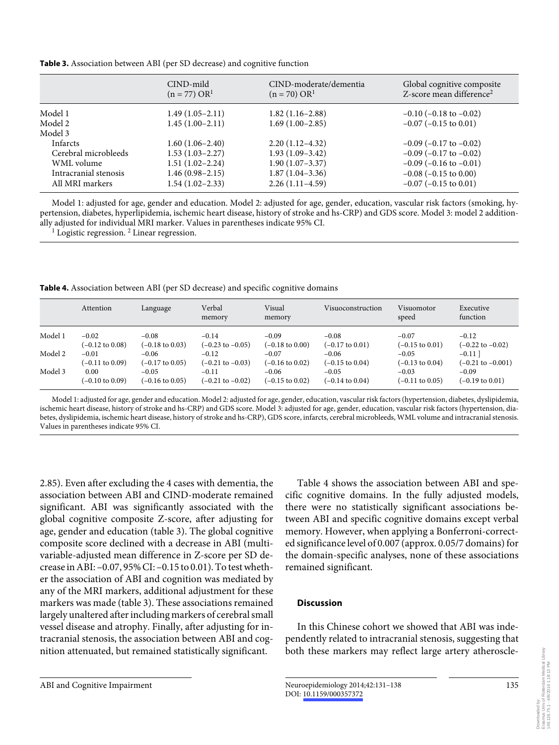**Table 3.** Association between ABI (per SD decrease) and cognitive function

|                       | CIND-mild<br>$(n = 77) OR1$ | CIND-moderate/dementia<br>$(n = 70) OR1$ | Global cognitive composite<br>Z-score mean difference <sup>2</sup> |
|-----------------------|-----------------------------|------------------------------------------|--------------------------------------------------------------------|
| Model 1               | $1.49(1.05-2.11)$           | $1.82(1.16-2.88)$                        | $-0.10$ ( $-0.18$ to $-0.02$ )                                     |
| Model 2               | $1.45(1.00-2.11)$           | $1.69(1.00-2.85)$                        | $-0.07$ ( $-0.15$ to 0.01)                                         |
| Model 3               |                             |                                          |                                                                    |
| <b>Infarcts</b>       | $1.60(1.06-2.40)$           | $2.20(1.12-4.32)$                        | $-0.09$ ( $-0.17$ to $-0.02$ )                                     |
| Cerebral microbleeds  | $1.53(1.03-2.27)$           | $1.93(1.09-3.42)$                        | $-0.09$ ( $-0.17$ to $-0.02$ )                                     |
| WML volume            | $1.51(1.02 - 2.24)$         | $1.90(1.07-3.37)$                        | $-0.09$ ( $-0.16$ to $-0.01$ )                                     |
| Intracranial stenosis | $1.46(0.98 - 2.15)$         | $1.87(1.04-3.36)$                        | $-0.08$ ( $-0.15$ to 0.00)                                         |
| All MRI markers       | $1.54(1.02 - 2.33)$         | $2.26(1.11-4.59)$                        | $-0.07$ ( $-0.15$ to 0.01)                                         |

 Model 1: adjusted for age, gender and education. Model 2: adjusted for age, gender, education, vascular risk factors (smoking, hypertension, diabetes, hyperlipidemia, ischemic heart disease, history of stroke and hs-CRP) and GDS score. Model 3: model 2 additionally adjusted for individual MRI marker. Values in parentheses indicate 95% CI. <sup>1</sup>

Logistic regression.<sup>2</sup> Linear regression.

**Table 4.** Association between ABI (per SD decrease) and specific cognitive domains

|         | Attention                  | Language                   | Verbal<br>memory            | Visual<br>memory           | Visuoconstruction          | Visuomotor<br>speed        | Executive<br>function        |
|---------|----------------------------|----------------------------|-----------------------------|----------------------------|----------------------------|----------------------------|------------------------------|
| Model 1 | $-0.02$                    | $-0.08$                    | $-0.14$                     | $-0.09$                    | $-0.08$                    | $-0.07$                    | $-0.12$                      |
|         | $(-0.12 \text{ to } 0.08)$ | $(-0.18 \text{ to } 0.03)$ | $(-0.23 \text{ to } -0.05)$ | $(-0.18 \text{ to } 0.00)$ | $(-0.17 \text{ to } 0.01)$ | $(-0.15 \text{ to } 0.01)$ | $(-0.22 \text{ to } -0.02)$  |
| Model 2 | $-0.01$                    | $-0.06$                    | $-0.12$                     | $-0.07$                    | $-0.06$                    | $-0.05$                    | $-0.11$ ]                    |
|         | (-0.11 to 0.09)            | $(-0.17 \text{ to } 0.05)$ | $(-0.21 \text{ to } -0.03)$ | $(-0.16 \text{ to } 0.02)$ | $(-0.15 \text{ to } 0.04)$ | $(-0.13 \text{ to } 0.04)$ | $(-0.21 \text{ to } -0.001)$ |
| Model 3 | 0.00                       | $-0.05$                    | $-0.11$                     | $-0.06$                    | $-0.05$                    | $-0.03$                    | $-0.09$                      |
|         | $(-0.10 \text{ to } 0.09)$ | $(-0.16 \text{ to } 0.05)$ | $(-0.21 \text{ to } -0.02)$ | $(-0.15 \text{ to } 0.02)$ | $(-0.14 \text{ to } 0.04)$ | $(-0.11 \text{ to } 0.05)$ | (-0.19 to 0.01)              |

 Model 1: adjusted for age, gender and education. Model 2: adjusted for age, gender, education, vascular risk factors (hypertension, diabetes, dyslipidemia, ischemic heart disease, history of stroke and hs-CRP) and GDS score. Model 3: adjusted for age, gender, education, vascular risk factors (hypertension, diabetes, dyslipidemia, ischemic heart disease, history of stroke and hs-CRP), GDS score, infarcts, cerebral microbleeds, WML volume and intracranial stenosis. Values in parentheses indicate 95% CI.

2.85). Even after excluding the 4 cases with dementia, the association between ABI and CIND-moderate remained significant. ABI was significantly associated with the global cognitive composite Z-score, after adjusting for age, gender and education (table 3). The global cognitive composite score declined with a decrease in ABI (multivariable-adjusted mean difference in Z-score per SD decrease in ABI: –0.07, 95% CI: –0.15 to 0.01). To test whether the association of ABI and cognition was mediated by any of the MRI markers, additional adjustment for these markers was made (table 3). These associations remained largely unaltered after including markers of cerebral small vessel disease and atrophy. Finally, after adjusting for intracranial stenosis, the association between ABI and cognition attenuated, but remained statistically significant.

 Table 4 shows the association between ABI and specific cognitive domains. In the fully adjusted models, there were no statistically significant associations between ABI and specific cognitive domains except verbal memory. However, when applying a Bonferroni-corrected significance level of 0.007 (approx. 0.05/7 domains) for the domain-specific analyses, none of these associations remained significant.

# **Discussion**

 In this Chinese cohort we showed that ABI was independently related to intracranial stenosis, suggesting that both these markers may reflect large artery atheroscle-

149.126.75.1 - 4/8/2016 1:18:13 PM

135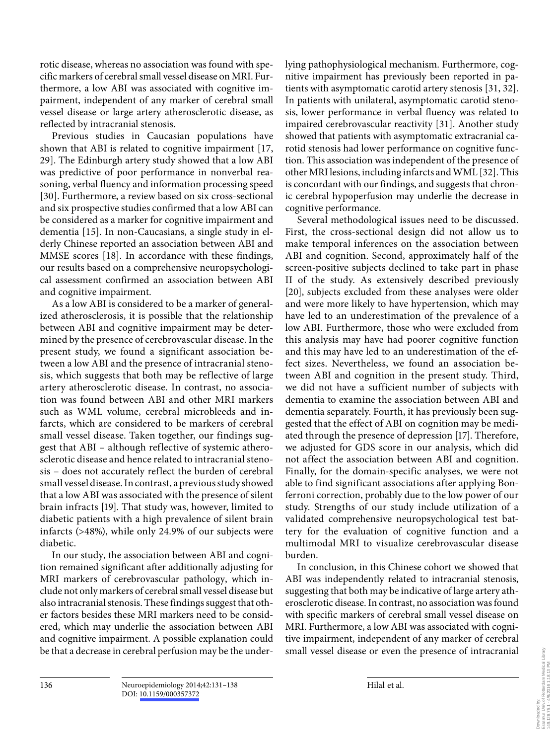rotic disease, whereas no association was found with specific markers of cerebral small vessel disease on MRI. Furthermore, a low ABI was associated with cognitive impairment, independent of any marker of cerebral small vessel disease or large artery atherosclerotic disease, as reflected by intracranial stenosis.

 Previous studies in Caucasian populations have shown that ABI is related to cognitive impairment [17, 29]. The Edinburgh artery study showed that a low ABI was predictive of poor performance in nonverbal reasoning, verbal fluency and information processing speed [30]. Furthermore, a review based on six cross-sectional and six prospective studies confirmed that a low ABI can be considered as a marker for cognitive impairment and dementia [15]. In non-Caucasians, a single study in elderly Chinese reported an association between ABI and MMSE scores [18]. In accordance with these findings, our results based on a comprehensive neuropsychological assessment confirmed an association between ABI and cognitive impairment.

 As a low ABI is considered to be a marker of generalized atherosclerosis, it is possible that the relationship between ABI and cognitive impairment may be determined by the presence of cerebrovascular disease. In the present study, we found a significant association between a low ABI and the presence of intracranial stenosis, which suggests that both may be reflective of large artery atherosclerotic disease. In contrast, no association was found between ABI and other MRI markers such as WML volume, cerebral microbleeds and infarcts, which are considered to be markers of cerebral small vessel disease. Taken together, our findings suggest that ABI – although reflective of systemic atherosclerotic disease and hence related to intracranial stenosis – does not accurately reflect the burden of cerebral small vessel disease. In contrast, a previous study showed that a low ABI was associated with the presence of silent brain infracts [19]. That study was, however, limited to diabetic patients with a high prevalence of silent brain infarcts (>48%), while only 24.9% of our subjects were diabetic.

 In our study, the association between ABI and cognition remained significant after additionally adjusting for MRI markers of cerebrovascular pathology, which include not only markers of cerebral small vessel disease but also intracranial stenosis. These findings suggest that other factors besides these MRI markers need to be considered, which may underlie the association between ABI and cognitive impairment. A possible explanation could be that a decrease in cerebral perfusion may be the underlying pathophysiological mechanism. Furthermore, cognitive impairment has previously been reported in patients with asymptomatic carotid artery stenosis [31, 32] . In patients with unilateral, asymptomatic carotid stenosis, lower performance in verbal fluency was related to impaired cerebrovascular reactivity [31]. Another study showed that patients with asymptomatic extracranial carotid stenosis had lower performance on cognitive function. This association was independent of the presence of other MRI lesions, including infarcts and WML [32] . This is concordant with our findings, and suggests that chronic cerebral hypoperfusion may underlie the decrease in cognitive performance.

 Several methodological issues need to be discussed. First, the cross-sectional design did not allow us to make temporal inferences on the association between ABI and cognition. Second, approximately half of the screen-positive subjects declined to take part in phase II of the study. As extensively described previously [20], subjects excluded from these analyses were older and were more likely to have hypertension, which may have led to an underestimation of the prevalence of a low ABI. Furthermore, those who were excluded from this analysis may have had poorer cognitive function and this may have led to an underestimation of the effect sizes. Nevertheless, we found an association between ABI and cognition in the present study. Third, we did not have a sufficient number of subjects with dementia to examine the association between ABI and dementia separately. Fourth, it has previously been suggested that the effect of ABI on cognition may be mediated through the presence of depression [17] . Therefore, we adjusted for GDS score in our analysis, which did not affect the association between ABI and cognition. Finally, for the domain-specific analyses, we were not able to find significant associations after applying Bonferroni correction, probably due to the low power of our study. Strengths of our study include utilization of a validated comprehensive neuropsychological test battery for the evaluation of cognitive function and a multimodal MRI to visualize cerebrovascular disease burden.

 In conclusion, in this Chinese cohort we showed that ABI was independently related to intracranial stenosis, suggesting that both may be indicative of large artery atherosclerotic disease. In contrast, no association was found with specific markers of cerebral small vessel disease on MRI. Furthermore, a low ABI was associated with cognitive impairment, independent of any marker of cerebral small vessel disease or even the presence of intracranial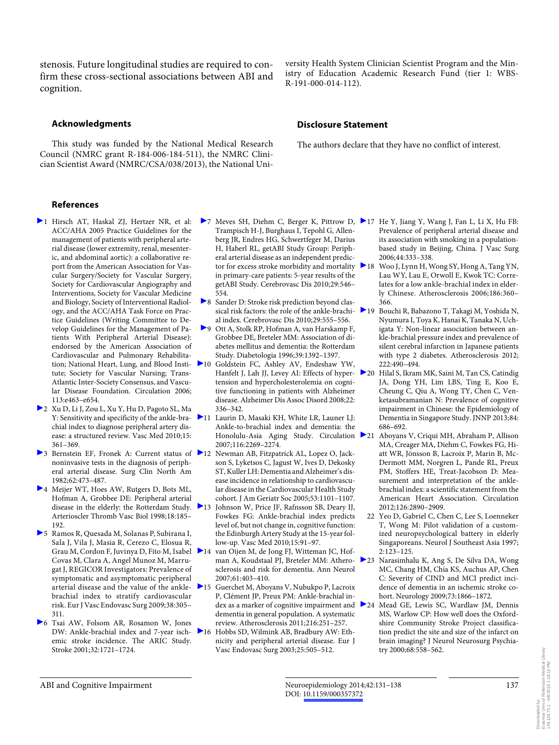stenosis. Future longitudinal studies are required to confirm these cross-sectional associations between ABI and cognition.

#### **Acknowledgments**

 This study was funded by the National Medical Research Council (NMRC grant R-184-006-184-511), the NMRC Clinician Scientist Award (NMRC/CSA/038/2013), the National University Health System Clinician Scientist Program and the Ministry of Education Academic Research Fund (tier 1: WBS-R-191-000-014-112).

#### **Disclosure Statement**

The authors declare that they have no conflict of interest.

#### **References**

- 1 Hirsch AT, Haskal ZJ, Hertzer NR, et al: ACC/AHA 2005 Practice Guidelines for the management of patients with peripheral arterial disease (lower extremity, renal, mesenteric, and abdominal aortic): a collaborative report from the American Association for Vascular Surgery/Society for Vascular Surgery, Society for Cardiovascular Angiography and Interventions, Society for Vascular Medicine and Biology, Society of Interventional Radiology, and the ACC/AHA Task Force on Practice Guidelines (Writing Committee to Develop Guidelines for the Management of Patients With Peripheral Arterial Disease): endorsed by the American Association of Cardiovascular and Pulmonary Rehabilitation; National Heart, Lung, and Blood Institute; Society for Vascular Nursing; Trans-Atlantic Inter-Society Consensus, and Vascular Disease Foundation. Circulation 2006; 113:e463–e654.
- 2 Xu D, Li J, Zou L, Xu Y, Hu D, Pagoto SL, Ma Y: Sensitivity and specificity of the ankle-brachial index to diagnose peripheral artery disease: a structured review. Vasc Med 2010;15: 361–369.
- <sup>3</sup> 3 Bernstein EF, Fronek A: Current status of <sup>2</sup>12 Newman AB, Fitzpatrick AL, Lopez O, Jacknoninvasive tests in the diagnosis of peripheral arterial disease. Surg Clin North Am 1982;62:473–487.
- ▶ 4 Meijer WT, Hoes AW, Rutgers D, Bots ML, Hofman A, Grobbee DE: Peripheral arterial disease in the elderly: the Rotterdam Study. 213 Arterioscler Thromb Vasc Biol 1998;18:185– 192.
- 5 Ramos R, Quesada M, Solanas P, Subirana I, Sala J, Vila J, Masia R, Cerezo C, Elosua R, Grau M, Cordon F, Juvinya D, Fito M, Isabel Covas M, Clara A, Angel Munoz M, Marrugat J, REGICOR Investigators: Prevalence of symptomatic and asymptomatic peripheral arterial disease and the value of the ankle- $\geq 15$ brachial index to stratify cardiovascular risk. Eur J Vasc Endovasc Surg 2009;38:305– 311.
- 6 Tsai AW, Folsom AR, Rosamon W, Jones DW: Ankle-brachial index and 7-year ischemic stroke incidence. The ARIC Study. Stroke 2001;32:1721–1724.
- Trampisch H-J, Burghaus I, Tepohl G, Allenberg JR, Endres HG, Schwertfeger M, Darius H, Haberl RL, getABI Study Group: Peripheral arterial disease as an independent predictor for excess stroke morbidity and mortality in primary-care patients: 5-year results of the getABI Study. Cerebrovasc Dis 2010;29:546– 554.
- 8 Sander D: Stroke risk prediction beyond classical risk factors: the role of the ankle-brachi- $\geq 19$ al index. Cerebrovasc Dis 2010;29:555–556.
- 9 Ott A, Stolk RP, Hofman A, van Harskamp F, Grobbee DE, Breteler MM: Association of diabetes mellitus and dementia: the Rotterdam Study. Diabetologia 1996;39:1392–1397.
- 10 Goldstein FC, Ashley AV, Endeshaw YW, Hanfelt J, Lah JJ, Levey AI: Effects of hyper- $\geq 20$ tension and hypercholesterolemia on cognitive functioning in patients with Alzheimer disease. Alzheimer Dis Assoc Disord 2008;22: 336–342.
- 11 Laurin D, Masaki KH, White LR, Launer LJ: Ankle-to-brachial index and dementia: the Honolulu-Asia Aging Study. Circulation 21 2007;116:2269–2274.
- son S, Lyketsos C, Jagust W, Ives D, Dekosky ST, Kuller LH: Dementia and Alzheimer's disease incidence in relationship to cardiovascular disease in the Cardiovascular Health Study cohort. J Am Geriatr Soc 2005;53:1101–1107.
- Johnson W, Price JF, Rafnsson SB, Deary IJ, Fowkes FG: Ankle-brachial index predicts level of, but not change in, cognitive function: the Edinburgh Artery Study at the 15-year follow-up. Vasc Med 2010;15:91–97.
- 14 van Oijen M, de Jong FJ, Witteman JC, Hofman A, Koudstaal PJ, Breteler MM: Atherosclerosis and risk for dementia. Ann Neurol 2007;61:403–410.
- 15 Guerchet M, Aboyans V, Nubukpo P, Lacroix P, Clément JP, Preux PM: Ankle-brachial index as a marker of cognitive impairment and 24 dementia in general population. A systematic review. Atherosclerosis 2011;216:251–257.
- 16 Hobbs SD, Wilmink AB, Bradbury AW: Ethnicity and peripheral arterial disease. Eur J Vasc Endovasc Surg 2003;25:505–512.
- 7 Meves SH, Diehm C, Berger K, Pittrow D, 17 He Y, Jiang Y, Wang J, Fan L, Li X, Hu FB: Prevalence of peripheral arterial disease and its association with smoking in a populationbased study in Beijing, China. J Vasc Surg 2006;44:333–338.
	- 18 Woo J, Lynn H, Wong SY, Hong A, Tang YN, Lau WY, Lau E, Orwoll E, Kwok TC: Correlates for a low ankle-brachial index in elderly Chinese. Atherosclerosis 2006;186:360– 366.
		- 19 Bouchi R, Babazono T, Takagi M, Yoshida N, Nyumura I, Toya K, Hanai K, Tanaka N, Uchigata Y: Non-linear association between ankle-brachial pressure index and prevalence of silent cerebral infarction in Japanese patients with type 2 diabetes. Atherosclerosis 2012; 222:490–494.
		- 20 Hilal S, Ikram MK, Saini M, Tan CS, Catindig JA, Dong YH, Lim LBS, Ting E, Koo E, Cheung C, Qiu A, Wong TY, Chen C, Venketasubramanian N: Prevalence of cognitive impairment in Chinese: the Epidemiology of Dementia in Singapore Study. JNNP 2013;84: 686–692.
		- 21 Aboyans V, Criqui MH, Abraham P, Allison MA, Creager MA, Diehm C, Fowkes FG, Hiatt WR, Jönsson B, Lacroix P, Marin B, Mc-Dermott MM, Norgren L, Pande RL, Preux PM, Stoffers HE, Treat-Jacobson D: Measurement and interpretation of the anklebrachial index: a scientific statement from the American Heart Association. Circulation 2012;126:2890–2909.
		- 22 Yeo D, Gabriel C, Chen C, Lee S, Loenneker T, Wong M: Pilot validation of a customized neuropsychological battery in elderly Singaporeans. Neurol J Southeast Asia 1997; 2:123–125.
	- 23 Narasimhalu K, Ang S, De Silva DA, Wong MC, Chang HM, Chia KS, Auchus AP, Chen C: Severity of CIND and MCI predict incidence of dementia in an ischemic stroke cohort. Neurology 2009;73:1866–1872.
		- Mead GE, Lewis SC, Wardlaw JM, Dennis MS, Warlow CP: How well does the Oxfordshire Community Stroke Project classification predict the site and size of the infarct on brain imaging? J Neurol Neurosurg Psychiatry 2000;68:558–562.